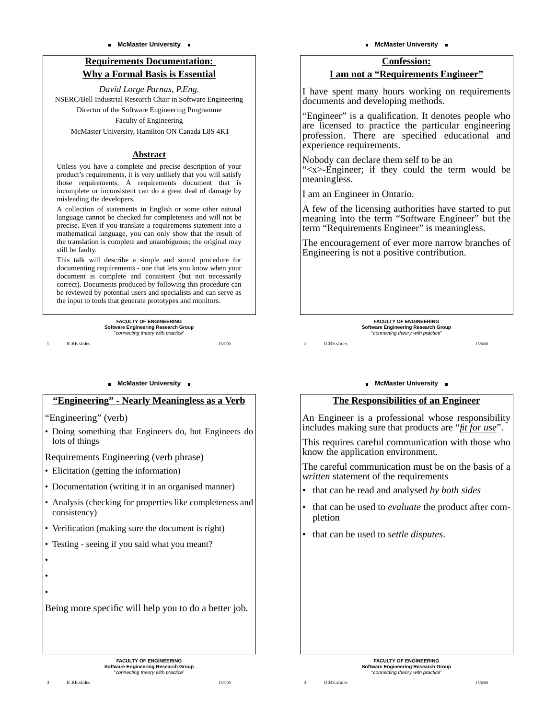### **Requirements Documentation: Why a Formal Basis is Essential**

*David Lorge Parnas, P.Eng.* NSERC/Bell Industrial Research Chair in Software Engineering Director of the Software Engineering Programme Faculty of Engineering McMaster University, Hamilton ON Canada L8S 4K1

### **Abstract**

Unless you have a complete and precise description of your product's requirements, it is very unlikely that you will satisfy those requirements. A requirements document that is incomplete or inconsistent can do a great deal of damage by misleading the developers.

A collection of statements in English or some other natural language cannot be checked for completeness and will not be precise. Even if you translate a requirements statement into a mathematical language, you can only show that the result of the translation is complete and unambiguous; the original may still be faulty.

This talk will describe a simple and sound procedure for documenting requirements - one that lets you know when your document is complete and consistent (but not necessarily correct). Documents produced by following this procedure can be reviewed by potential users and specialists and can serve as the input to tools that generate prototypes and monitors.

> **FACULTY OF ENGINEERING** Software Engineering Research Group<br>"connecting theory with practice"

> > 15/6/00

1 ICRE.slides

• • •

#### **NcMaster University .**

### **"Engineering" - Nearly Meaningless as a Verb**

"Engineering" (verb)

• Doing something that Engineers do, but Engineers do lots of things

Requirements Engineering (verb phrase)

- Elicitation (getting the information)
- Documentation (writing it in an organised manner)
- Analysis (checking for properties like completeness and consistency)
- Verification (making sure the document is right)
- Testing seeing if you said what you meant?

Being more specific will help you to do a better job.

#### **McMaster University**

### **Confession: I am not a "Requirements Engineer"**

I have spent many hours working on requirements documents and developing methods.

"Engineer" is a qualification. It denotes people who are licensed to practice the particular engineering profession. There are specified educational and experience requirements.

Nobody can declare them self to be an "<x>-Engineer; if they could the term would be meaningless.

I am an Engineer in Ontario.

A few of the licensing authorities have started to put meaning into the term "Software Engineer" but the term "Requirements Engineer" is meaningless.

The encouragement of ever more narrow branches of Engineering is not a positive contribution.

> **FACULTY OF ENGINEERING** Software Engineering Research Group<br>"connecting theory with practice"

2 ICRE.slides

#### **NcMaster University .**

### **The Responsibilities of an Engineer**

An Engineer is a professional whose responsibility includes making sure that products are "*fit for use*".

This requires careful communication with those who know the application environment.

The careful communication must be on the basis of a *written* statement of the requirements

- that can be read and analysed *by both sides*
- that can be used to *evaluate* the product after completion
- that can be used to *settle disputes*.

4 ICRE.slides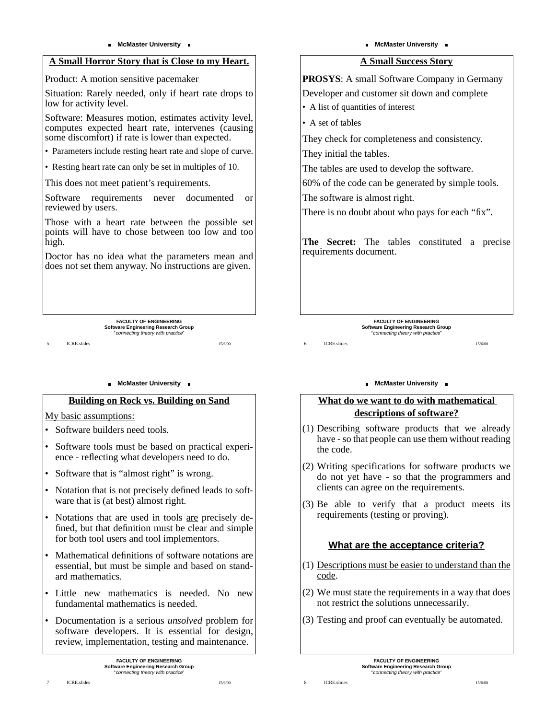### **A Small Horror Story that is Close to my Heart.**

Product: A motion sensitive pacemaker

Situation: Rarely needed, only if heart rate drops to low for activity level.

Software: Measures motion, estimates activity level, computes expected heart rate, intervenes (causing some discomfort) if rate is lower than expected.

• Parameters include resting heart rate and slope of curve.

• Resting heart rate can only be set in multiples of 10.

This does not meet patient's requirements.

Software requirements never documented or reviewed by users.

Those with a heart rate between the possible set points will have to chose between too low and too high.

Doctor has no idea what the parameters mean and does not set them anyway. No instructions are given.

> **FACULTY OF ENGINEERING** Software Engineering Research Group<br>"connecting theory with practice"

5 ICRE.slides

#### **NcMaster University .**

### **Building on Rock vs. Building on Sand**

My basic assumptions:

- Software builders need tools.
- Software tools must be based on practical experience - reflecting what developers need to do.
- Software that is "almost right" is wrong.
- Notation that is not precisely defined leads to software that is (at best) almost right.
- Notations that are used in tools are precisely defined, but that definition must be clear and simple for both tool users and tool implementors.
- Mathematical definitions of software notations are essential, but must be simple and based on standard mathematics.
- Little new mathematics is needed. No new fundamental mathematics is needed.
- Documentation is a serious *unsolved* problem for software developers. It is essential for design, review, implementation, testing and maintenance.

15/6/00

#### **McMaster University**

### **A Small Success Story**

**PROSYS**: A small Software Company in Germany Developer and customer sit down and complete

• A list of quantities of interest

• A set of tables

6 ICRE.slides

They check for completeness and consistency.

They initial the tables.

The tables are used to develop the software.

60% of the code can be generated by simple tools.

The software is almost right.

There is no doubt about who pays for each "fix".

**The Secret:** The tables constituted a precise requirements document.

> **FACULTY OF ENGINEERING** Software Engineering Research Group<br>"connecting theory with practice"

> > 15/6/00

### **NcMaster University .**

### **What do we want to do with mathematical descriptions of software?**

- (1) Describing software products that we already have - so that people can use them without reading the code.
- (2) Writing specifications for software products we do not yet have - so that the programmers and clients can agree on the requirements.
- (3) Be able to verify that a product meets its requirements (testing or proving).

### **What are the acceptance criteria?**

- (1) Descriptions must be easier to understand than the code.
- (2) We must state the requirements in a way that does not restrict the solutions unnecessarily.
- (3) Testing and proof can eventually be automated.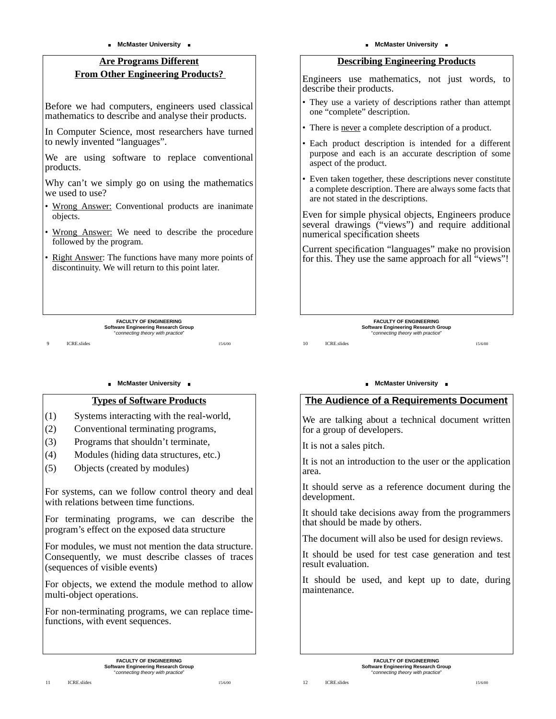### **Are Programs Different From Other Engineering Products?**

Before we had computers, engineers used classical mathematics to describe and analyse their products.

In Computer Science, most researchers have turned to newly invented "languages".

We are using software to replace conventional products.

Why can't we simply go on using the mathematics we used to use?

- Wrong Answer: Conventional products are inanimate objects.
- Wrong Answer: We need to describe the procedure followed by the program.
- Right Answer: The functions have many more points of discontinuity. We will return to this point later.

| <b>FACULTY OF ENGINEERING</b>              |
|--------------------------------------------|
| <b>Software Engineering Research Group</b> |
| "connecting theory with practice"          |

15/6/00

9 ICRE.slides

### **NcMaster University .**

### **Types of Software Products**

- (1) Systems interacting with the real-world,
- (2) Conventional terminating programs,
- (3) Programs that shouldn't terminate,
- (4) Modules (hiding data structures, etc.)
- (5) Objects (created by modules)

For systems, can we follow control theory and deal with relations between time functions.

For terminating programs, we can describe the program's effect on the exposed data structure

For modules, we must not mention the data structure. Consequently, we must describe classes of traces (sequences of visible events)

For objects, we extend the module method to allow multi-object operations.

For non-terminating programs, we can replace timefunctions, with event sequences.

#### **McMaster University**

### **Describing Engineering Products**

Engineers use mathematics, not just words, to describe their products.

- They use a variety of descriptions rather than attempt one "complete" description.
- There is never a complete description of a product.
- Each product description is intended for a different purpose and each is an accurate description of some aspect of the product.
- Even taken together, these descriptions never constitute a complete description. There are always some facts that are not stated in the descriptions.

Even for simple physical objects, Engineers produce several drawings ("views") and require additional numerical specification sheets

Current specification "languages" make no provision for this. They use the same approach for all "views"!

> **FACULTY OF ENGINEERING** Software Engineering Research Group<br>"connecting theory with practice"

#### 10 **ICRE** slides

#### **NcMaster University .**

### **The Audience of a Requirements Document**

We are talking about a technical document written for a group of developers.

It is not a sales pitch.

It is not an introduction to the user or the application area.

It should serve as a reference document during the development.

It should take decisions away from the programmers that should be made by others.

The document will also be used for design reviews.

It should be used for test case generation and test result evaluation.

It should be used, and kept up to date, during maintenance.

15/6/00

**FACULTY OF ENGINEERING Software Engineering Research Group** "connecting theory with practice"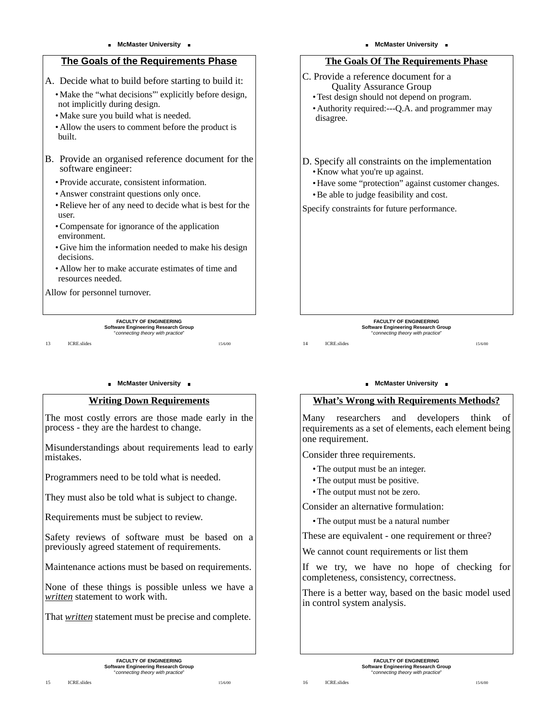

#### **NcMaster University .**

### **Writing Down Requirements**

The most costly errors are those made early in the process - they are the hardest to change.

Misunderstandings about requirements lead to early mistakes.

Programmers need to be told what is needed.

They must also be told what is subject to change.

Requirements must be subject to review.

Safety reviews of software must be based on a previously agreed statement of requirements.

Maintenance actions must be based on requirements.

None of these things is possible unless we have a *written* statement to work with.

That *written* statement must be precise and complete.

#### **McMaster University**



Software Engineering Research Group<br>"connecting theory with practice"

14 ICRE.slides

15/6/00

#### **NcMaster University .**

#### **What's Wrong with Requirements Methods?**

Many researchers and developers think of requirements as a set of elements, each element being one requirement.

Consider three requirements.

- The output must be an integer.
- The output must be positive.
- The output must not be zero.

Consider an alternative formulation:

• The output must be a natural number

These are equivalent - one requirement or three?

We cannot count requirements or list them

If we try, we have no hope of checking for completeness, consistency, correctness.

There is a better way, based on the basic model used in control system analysis.

**FACULTY OF ENGINEERING Software Engineering Research Group** "connecting theory with practice"

15 ICRE.slides

**FACULTY OF ENGINEERING Software Engineering Research Group** "connecting theory with practice"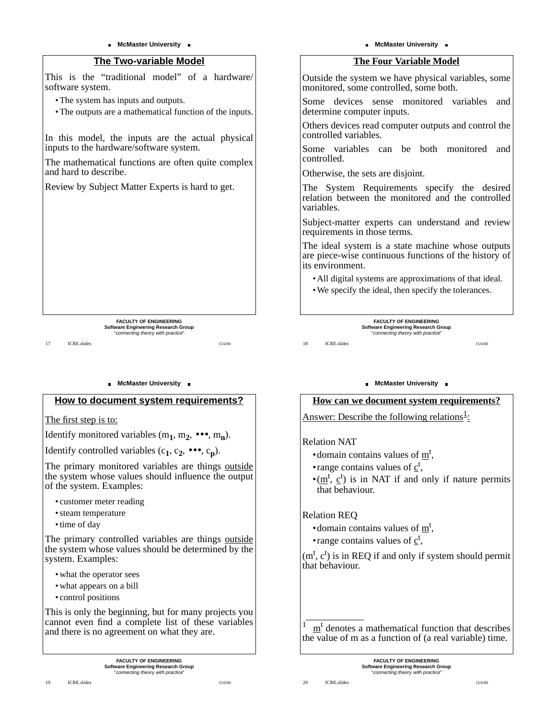### **The Two-variable Model**

This is the "traditional model" of a hardware/ software system.

• The system has inputs and outputs.

• The outputs are a mathematical function of the inputs.

In this model, the inputs are the actual physical inputs to the hardware/software system.

The mathematical functions are often quite complex and hard to describe.

Review by Subject Matter Experts is hard to get.

**FACULTY OF ENGINEERING** Software Engineering Research Group<br>"connecting theory with practice"

15/6/00

17 **ICRE** slides

#### **NcMaster University .**

### **How to document system requirements?**

The first step is to:

Identify monitored variables  $(m_1, m_2, \bullet \bullet \bullet, m_n)$ .

Identify controlled variables  $(c_1, c_2, \bullet \bullet \bullet, c_n)$ .

The primary monitored variables are things outside the system whose values should influence the output of the system. Examples:

- customer meter reading
- steam temperature
- time of day

The primary controlled variables are things outside the system whose values should be determined by the system. Examples:

- what the operator sees
- what appears on a bill
- control positions

This is only the beginning, but for many projects you cannot even find a complete list of these variables and there is no agreement on what they are.

### **The Four Variable Model**

Outside the system we have physical variables, some monitored, some controlled, some both.

Some devices sense monitored variables and determine computer inputs.

Others devices read computer outputs and control the controlled variables.

Some variables can be both monitored and controlled.

Otherwise, the sets are disjoint.

The System Requirements specify the desired relation between the monitored and the controlled variables.

Subject-matter experts can understand and review requirements in those terms.

The ideal system is a state machine whose outputs are piece-wise continuous functions of the history of its environment.

- All digital systems are approximations of that ideal.
- We specify the ideal, then specify the tolerances.

**FACULTY OF ENGINEERING** Software Engineering Research Group<br>"connecting theory with practice"

18 **ICRE** slides

# **NcMaster University .**

### **How can we document system requirements?**

Answer: Describe the following relations<sup>1</sup>:

### Relation NAT

- domain contains values of  $m<sup>t</sup>$ ,
- range contains values of  $\underline{c}^t$ ,
- $\bullet$ (m<sup>t</sup>, c<sup>t</sup>) is in NAT if and only if nature permits that behaviour.

### Relation REQ

- domain contains values of  $m<sup>t</sup>$ ,
- range contains values of  $\underline{c}^t$ ,

 $(m<sup>t</sup>, c<sup>t</sup>)$  is in REQ if and only if system should permit that behaviour.

 $m<sup>t</sup>$  denotes a mathematical function that describes the value of m as a function of (a real variable) time.

> **FACULTY OF ENGINEERING Software Engineering Research Group** "connecting theory with practice"

20 **ICRE** slides

15/6/00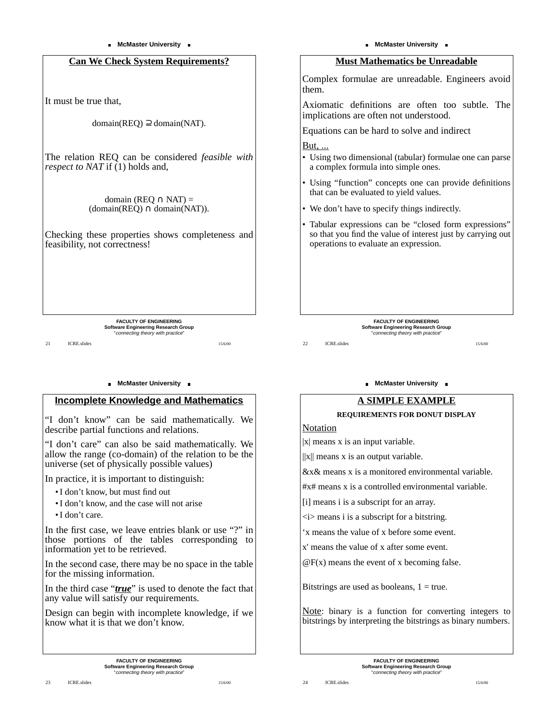### **Can We Check System Requirements?**

It must be true that,

 $domain(REQ) \supseteq domain( NAT)$ .

The relation REQ can be considered *feasible with respect to NAT* if (1) holds and,

> domain (REO  $\cap$  NAT) =  $(domain(RED) \cap domain( NAT)).$

Checking these properties shows completeness and feasibility, not correctness!

> **FACULTY OF ENGINEERING** Software Engineering Research Group<br>"connecting theory with practice"

> > 15/6/00

21 **ICRE** slides

#### **NcMaster University .**

### **Incomplete Knowledge and Mathematics**

"I don't know" can be said mathematically. We describe partial functions and relations.

"I don't care" can also be said mathematically. We allow the range (co-domain) of the relation to be the universe (set of physically possible values)

In practice, it is important to distinguish:

- I don't know, but must find out
- I don't know, and the case will not arise
- I don't care.

In the first case, we leave entries blank or use "?" in those portions of the tables corresponding to information yet to be retrieved.

In the second case, there may be no space in the table for the missing information.

In the third case "*true*" is used to denote the fact that any value will satisfy our requirements.

Design can begin with incomplete knowledge, if we know what it is that we don't know.

### **Must Mathematics be Unreadable**

Complex formulae are unreadable. Engineers avoid them.

Axiomatic definitions are often too subtle. The implications are often not understood.

Equations can be hard to solve and indirect

<u>But, ...</u>

- Using two dimensional (tabular) formulae one can parse a complex formula into simple ones.
- Using "function" concepts one can provide definitions that can be evaluated to yield values.
- We don't have to specify things indirectly.
- Tabular expressions can be "closed form expressions" so that you find the value of interest just by carrying out operations to evaluate an expression.

**FACULTY OF ENGINEERING** Software Engineering Research Group<br>"connecting theory with practice"

22 **ICRE** slides

15/6/00

#### **McMaster University .**

### **A SIMPLE EXAMPLE**

#### **REQUIREMENTS FOR DONUT DISPLAY**

Notation

24 **ICRE** slides

|x| means x is an input variable.

 $||x||$  means x is an output variable.

&x& means x is a monitored environmental variable.

#x# means x is a controlled environmental variable.

[i] means i is a subscript for an array.

 $\langle i \rangle$  means i is a subscript for a bitstring.

'x means the value of x before some event.

x' means the value of x after some event.

 $\mathcal{Q}F(x)$  means the event of x becoming false.

Bitstrings are used as booleans,  $1 = true$ .

Note: binary is a function for converting integers to bitstrings by interpreting the bitstrings as binary numbers.

15/6/00

**FACULTY OF ENGINEERING Software Engineering Research Group** "connecting theory with practice"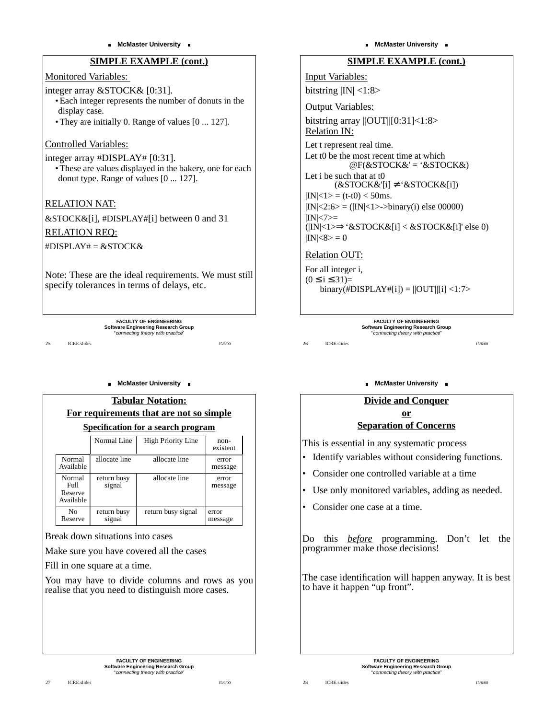### **SIMPLE EXAMPLE (cont.)**

Monitored Variables:

integer array &STOCK& [0:31]. • Each integer represents the number of donuts in the display case.

• They are initially 0. Range of values [0 ... 127].

### Controlled Variables:

#### integer array #DISPLAY# [0:31].

• These are values displayed in the bakery, one for each donut type. Range of values [0 ... 127].

RELATION NAT:

&STOCK&[i], #DISPLAY#[i] between 0 and 31 RELATION REQ:

 $#DISPLAY# = &STOCK&$ 

Note: These are the ideal requirements. We must still specify tolerances in terms of delays, etc.

> **FACULTY OF ENGINEERING** Software Engineering Research Group<br>"connecting theory with practice"

> > 15/6/00

25 **ICRE** slides

#### **McMaster University**

| <b>Tabular Notation:</b><br>For requirements that are not so simple<br><b>Specification for a search program</b> |                       |                           |                    |  |  |
|------------------------------------------------------------------------------------------------------------------|-----------------------|---------------------------|--------------------|--|--|
|                                                                                                                  | Normal Line           | <b>High Priority Line</b> | $non-$<br>existent |  |  |
| Normal<br>Available                                                                                              | allocate line         | allocate line             | error<br>message   |  |  |
| Normal<br>F <sub>II</sub> 11<br>Reserve<br>Available                                                             | return busy<br>signal | allocate line             | error<br>message   |  |  |
| Nο<br>Reserve                                                                                                    | return busy<br>signal | return busy signal        | error<br>message   |  |  |

Break down situations into cases

Make sure you have covered all the cases

Fill in one square at a time.

You may have to divide columns and rows as you realise that you need to distinguish more cases.

> **FACULTY OF ENGINEERING Software Engineering Research Group** "connecting theory with practice"

15/6/00

### **SIMPLE EXAMPLE (cont.)**

Input Variables: bitstring  $|IN|$  <1:8>

Output Variables: bitstring array  $||OUT||[0:31]<1:8>$ Relation IN: Let t represent real time. Let t0 be the most recent time at which  $@F(&STOCK&' = '&STOCK&')$ Let i be such that at t0  $(kSTOCK&'[i] \neq \& STOCK&[i])$  $|IN| < 1$  > = (t-t0) < 50ms.  $|IN| < 2:6> = (|IN| < 1>$ ->binary(i) else 00000)  $|IN| < 7> =$ (|IN|<1>⇒'&STOCK&[i] < &STOCK&[i]' else 0)  $|IN| < 8 > 0$ 

# Relation OUT:

For all integer i,  $(0 \le i \le 31)$ =  $binary(\text{\#DISPLAY#}[i]) = ||OUT||[i] < 1:7>$ 

> **FACULTY OF ENGINEERING** Software Engineering Research Group<br>"connecting theory with practice"

26 ICRE.slides

# **NcMaster University .**

## **Divide and Conquer or**

### **Separation of Concerns**

This is essential in any systematic process

- Identify variables without considering functions.
- Consider one controlled variable at a time
- Use only monitored variables, adding as needed.
- Consider one case at a time.

Do this *before* programming. Don't let the programmer make those decisions!

The case identification will happen anyway. It is best to have it happen "up front".

> **FACULTY OF ENGINEERING Software Engineering Research Group** "connecting theory with practice"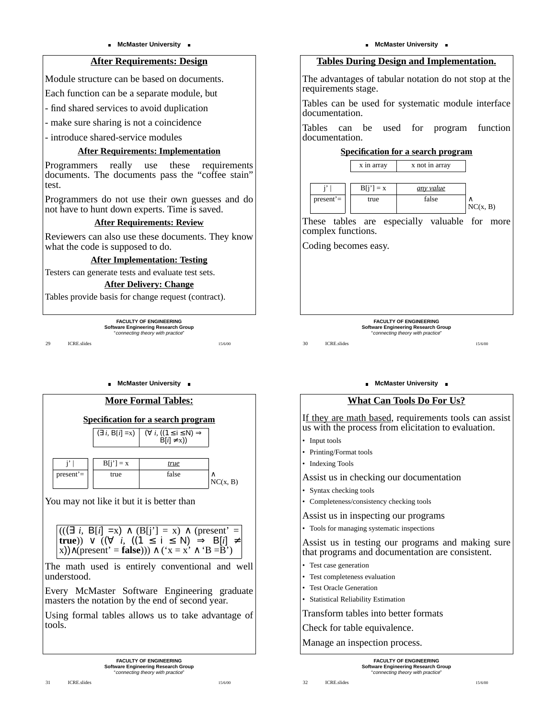### **After Requirements: Design**

Module structure can be based on documents.

Each function can be a separate module, but

- find shared services to avoid duplication

- make sure sharing is not a coincidence

- introduce shared-service modules

#### **After Requirements: Implementation**

Programmers really use these requirements documents. The documents pass the "coffee stain" test.

Programmers do not use their own guesses and do not have to hunt down experts. Time is saved.

### **After Requirements: Review**

Reviewers can also use these documents. They know what the code is supposed to do.

**After Implementation: Testing**

Testers can generate tests and evaluate test sets.

#### **After Delivery: Change**

Tables provide basis for change request (contract).

**FACULTY OF ENGINEERING** Software Engineering Research Group<br>"connecting theory with practice"

15/6/00

29 **ICRE** slides

#### **NcMaster University .**



$$
((\Box \text{ } 1, \text{ } \mathsf{D}[1] = x) \land (\mathsf{B}[1] = x) \land (\text{present} =
$$
  
**true**))  $\lor$  (( $\forall$  *i*, ((1 \le i \le N) \Rightarrow \mathsf{B}[i] \ne x)) \land (\text{present}' = \text{false})) \land (\text{'}x = x' \land \text{'}B = B')

The math used is entirely conventional and well understood.

Every McMaster Software Engineering graduate masters the notation by the end of second year.

Using formal tables allows us to take advantage of tools.

> **FACULTY OF ENGINEERING Software Engineering Research Group** "connecting theory with practice"

#### **McMaster University**

### **Tables During Design and Implementation.**

The advantages of tabular notation do not stop at the requirements stage.

Tables can be used for systematic module interface documentation.

Tables can be used for program function documentation.

#### **Specification for a search program**

|              |  | x in array  | x not in array |          |
|--------------|--|-------------|----------------|----------|
|              |  |             |                |          |
|              |  | $B[i'] = x$ | any value      |          |
| $present' =$ |  | true        | false          |          |
|              |  |             |                | NC(x, B) |

These tables are especially valuable for more complex functions.

Coding becomes easy.

**FACULTY OF ENGINEERING** Software Engineering Research Group<br>"connecting theory with practice"

30 ICRE.slides

#### **NcMaster University .**

### **What Can Tools Do For Us?**

If they are math based, requirements tools can assist us with the process from elicitation to evaluation.

- Input tools
- Printing/Format tools
- Indexing Tools

Assist us in checking our documentation

- Syntax checking tools
- Completeness/consistency checking tools

Assist us in inspecting our programs

• Tools for managing systematic inspections

Assist us in testing our programs and making sure that programs and documentation are consistent.

- Test case generation
- Test completeness evaluation
- Test Oracle Generation

32 ICRE.slides

• Statistical Reliability Estimation

Transform tables into better formats

Check for table equivalence.

Manage an inspection process.

**FACULTY OF ENGINEERING Software Engineering Research Group** "connecting theory with practice"

15/6/00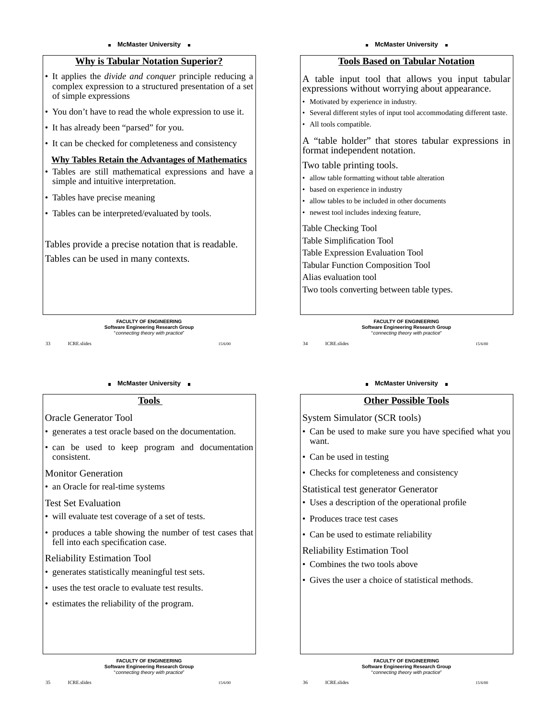### **Why is Tabular Notation Superior?**

• It applies the *divide and conquer* principle reducing a complex expression to a structured presentation of a set of simple expressions

- You don't have to read the whole expression to use it.
- It has already been "parsed" for you.
- It can be checked for completeness and consistency

### **Why Tables Retain the Advantages of Mathematics**

- Tables are still mathematical expressions and have a simple and intuitive interpretation.
- Tables have precise meaning
- Tables can be interpreted/evaluated by tools.

Tables provide a precise notation that is readable.

Tables can be used in many contexts.

**FACULTY OF ENGINEERING** Software Engineering Research Group<br>"connecting theory with practice"

15/6/00

33 ICRE.slides

#### **McMaster University**

#### **Tools**

- Oracle Generator Tool
- generates a test oracle based on the documentation.
- can be used to keep program and documentation consistent.

Monitor Generation

• an Oracle for real-time systems

### Test Set Evaluation

- will evaluate test coverage of a set of tests.
- produces a table showing the number of test cases that fell into each specification case.

### Reliability Estimation Tool

- generates statistically meaningful test sets.
- uses the test oracle to evaluate test results.
- estimates the reliability of the program.

#### **McMaster University**

### **Tools Based on Tabular Notation**

A table input tool that allows you input tabular expressions without worrying about appearance.

- Motivated by experience in industry.
- Several different styles of input tool accommodating different taste.
- All tools compatible.

A "table holder" that stores tabular expressions in format independent notation.

Two table printing tools.

- allow table formatting without table alteration
- based on experience in industry
- allow tables to be included in other documents
- newest tool includes indexing feature,

Table Checking Tool

Table Simplification Tool

Table Expression Evaluation Tool

Tabular Function Composition Tool

Alias evaluation tool

Two tools converting between table types.

#### **FACULTY OF ENGINEERING** Software Engineering Research Group<br>"connecting theory with practice"

34 ICRE.slides

15/6/00

### **McMaster University**

### **Other Possible Tools**

System Simulator (SCR tools)

- Can be used to make sure you have specified what you want.
- Can be used in testing
- Checks for completeness and consistency

Statistical test generator Generator

- Uses a description of the operational profile
- Produces trace test cases
- Can be used to estimate reliability

Reliability Estimation Tool

- Combines the two tools above
- Gives the user a choice of statistical methods.

15/6/00

**FACULTY OF ENGINEERING Software Engineering Research Group** "connecting theory with practice"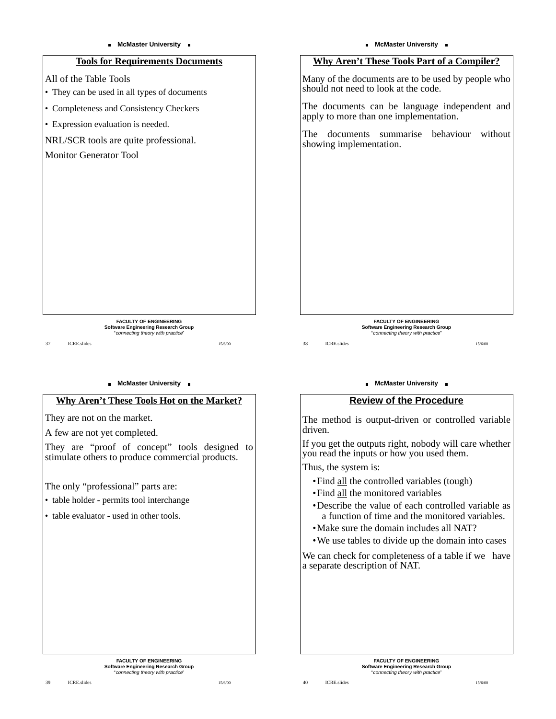## **Tools for Requirements Documents**

All of the Table Tools

- They can be used in all types of documents
- Completeness and Consistency Checkers
- Expression evaluation is needed.

NRL/SCR tools are quite professional.

### Monitor Generator Tool

**FACULTY OF ENGINEERING** Software Engineering Research Group<br>"connecting theory with practice"

37 ICRE.slides

### **NcMaster University .**

### **Why Aren't These Tools Hot on the Market?**

They are not on the market.

A few are not yet completed.

They are "proof of concept" tools designed to stimulate others to produce commercial products.

The only "professional" parts are:

• table holder - permits tool interchange

• table evaluator - used in other tools.



#### **NcMaster University .**

### **Review of the Procedure**

The method is output-driven or controlled variable driven.

If you get the outputs right, nobody will care whether you read the inputs or how you used them.

Thus, the system is:

- •Find all the controlled variables (tough)
- •Find all the monitored variables
- •Describe the value of each controlled variable as a function of time and the monitored variables.
- •Make sure the domain includes all NAT?
- •We use tables to divide up the domain into cases

We can check for completeness of a table if we have a separate description of NAT.